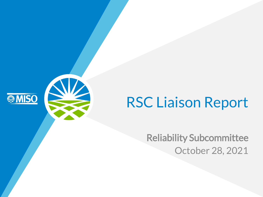# RSC Liaison Report

**SAMISO** 

Reliability Subcommittee October 28, 2021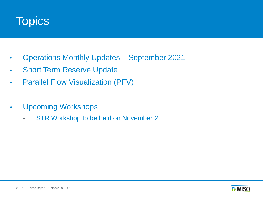

- Operations Monthly Updates September 2021
- Short Term Reserve Update
- Parallel Flow Visualization (PFV)
- Upcoming Workshops:
	- STR Workshop to be held on November 2

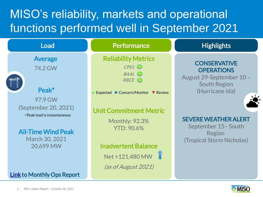## MISO's reliability, markets and operational functions performed well in September 2021



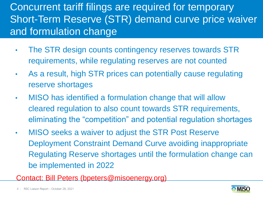#### Concurrent tariff filings are required for temporary Short-Term Reserve (STR) demand curve price waiver and formulation change

- The STR design counts contingency reserves towards STR requirements, while regulating reserves are not counted
- As a result, high STR prices can potentially cause regulating reserve shortages
- MISO has identified a formulation change that will allow cleared regulation to also count towards STR requirements, eliminating the "competition" and potential regulation shortages
- MISO seeks a waiver to adjust the STR Post Reserve Deployment Constraint Demand Curve avoiding inappropriate Regulating Reserve shortages until the formulation change can be implemented in 2022
- Contact: Bill Peters (bpeters@misoenergy.org)

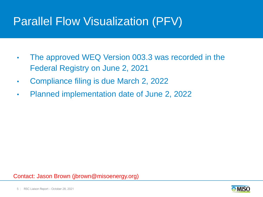### Parallel Flow Visualization (PFV)

- The approved WEQ Version 003.3 was recorded in the Federal Registry on June 2, 2021
- Compliance filing is due March 2, 2022
- Planned implementation date of June 2, 2022

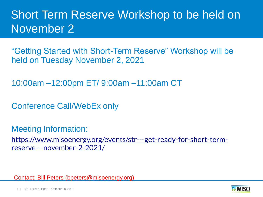### Short Term Reserve Workshop to be held on November 2

"Getting Started with Short-Term Reserve" Workshop will be held on Tuesday November 2, 2021

10:00am –12:00pm ET/ 9:00am –11:00am CT

Conference Call/WebEx only

Meeting Information: [https://www.misoenergy.org/events/str---get-ready-for-short-term](https://www.misoenergy.org/events/str---get-ready-for-short-term-reserve---november-2-2021/)reserve---november-2-2021/

Contact: Bill Peters (bpeters@misoenergy.org)